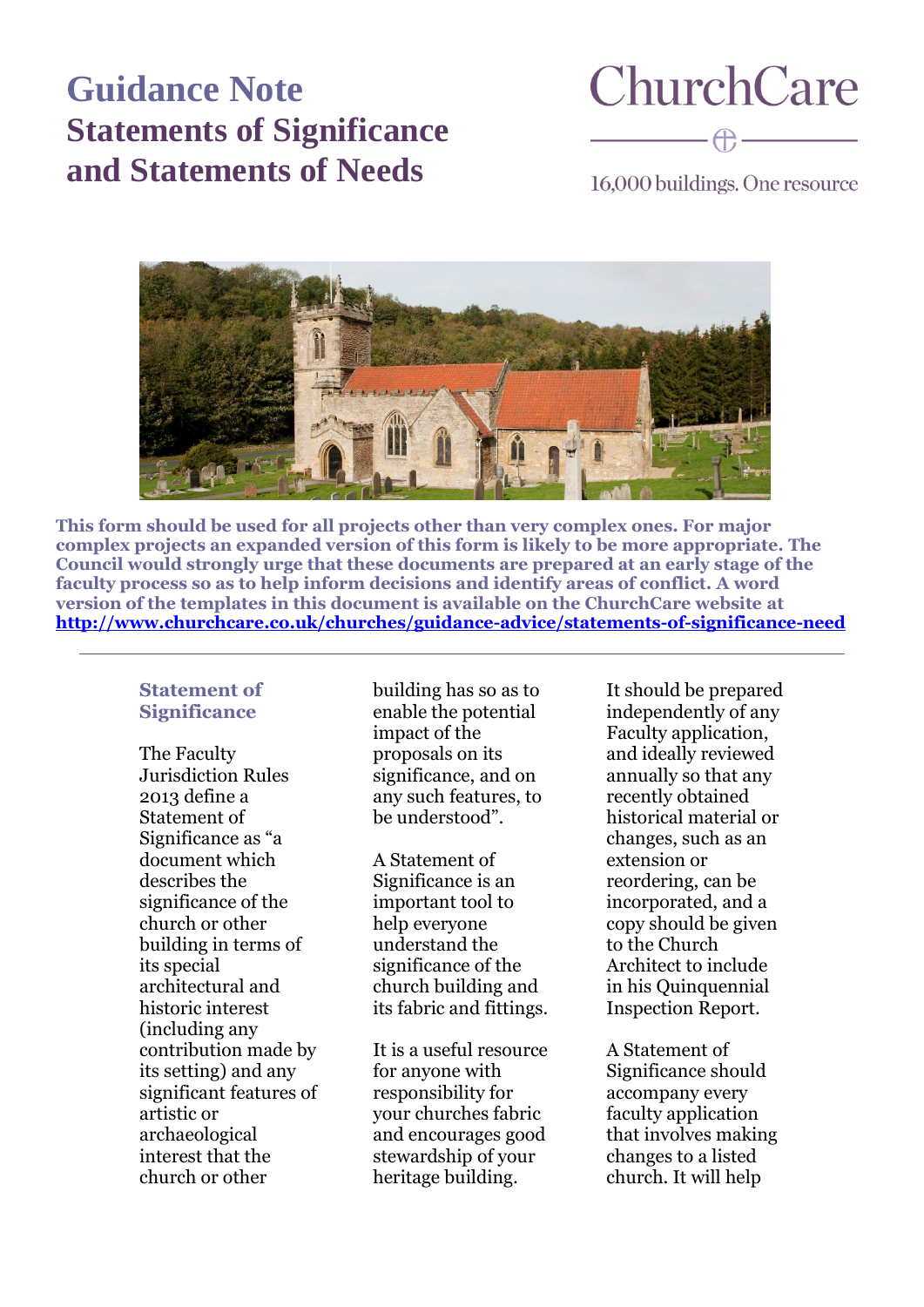## **Guidance Note Statements of Significance and Statements of Needs**

# **ChurchCare**

16,000 buildings. One resource



**This form should be used for all projects other than very complex ones. For major complex projects an expanded version of this form is likely to be more appropriate. The Council would strongly urge that these documents are prepared at an early stage of the faculty process so as to help inform decisions and identify areas of conflict. A word version of the templates in this document is available on the ChurchCare website at <http://www.churchcare.co.uk/churches/guidance-advice/statements-of-significance-need>**

#### **Statement of Significance**

The Faculty Jurisdiction Rules 2013 define a Statement of Significance as "a document which describes the significance of the church or other building in terms of its special architectural and historic interest (including any contribution made by its setting) and any significant features of artistic or archaeological interest that the church or other

building has so as to enable the potential impact of the proposals on its significance, and on any such features, to be understood".

A Statement of Significance is an important tool to help everyone understand the significance of the church building and its fabric and fittings.

It is a useful resource for anyone with responsibility for your churches fabric and encourages good stewardship of your heritage building.

It should be prepared independently of any Faculty application, and ideally reviewed annually so that any recently obtained historical material or changes, such as an extension or reordering, can be incorporated, and a copy should be given to the Church Architect to include in his Quinquennial Inspection Report.

A Statement of Significance should accompany every faculty application that involves making changes to a listed church. It will help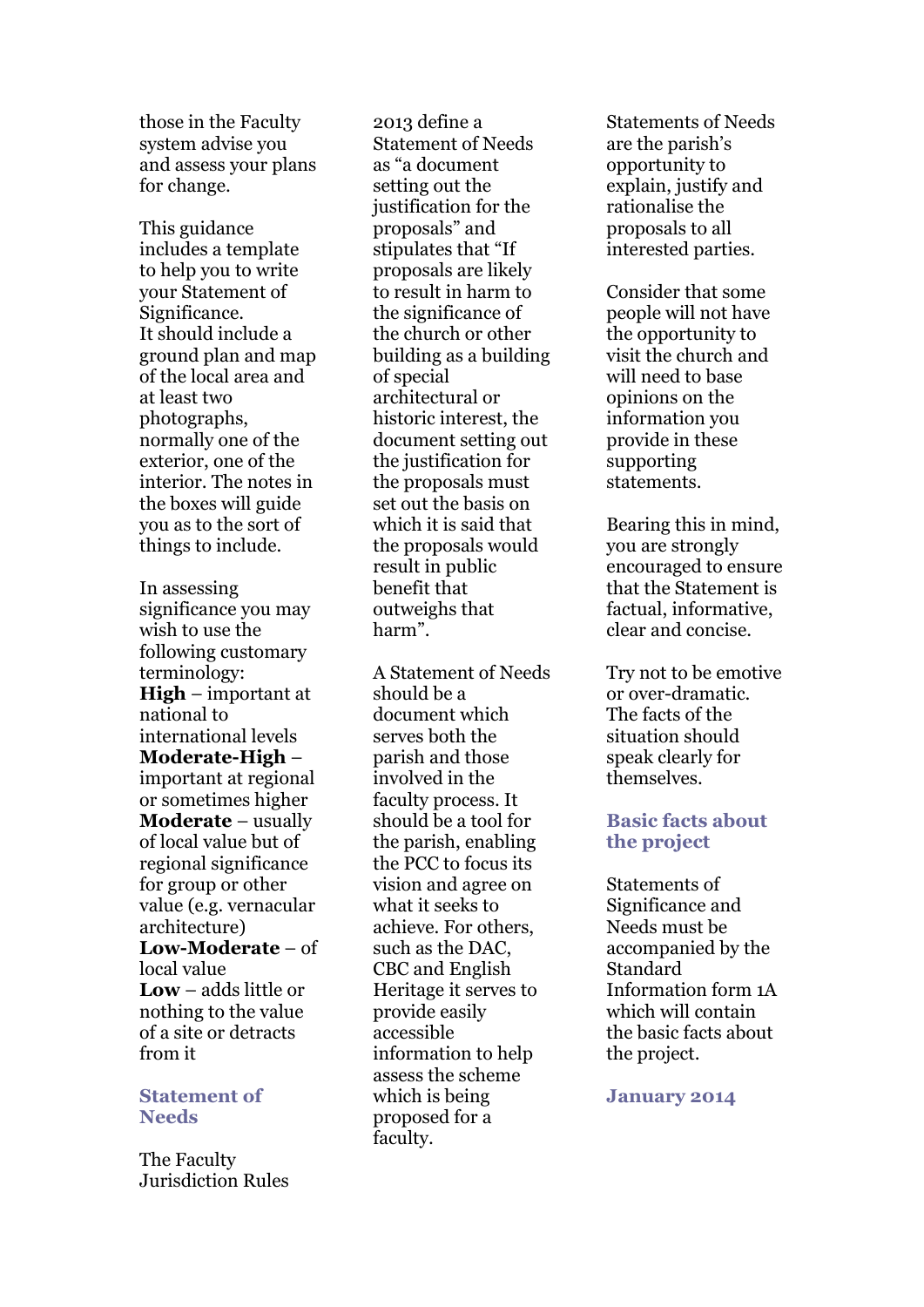those in the Faculty system advise you and assess your plans for change.

This guidance includes a template to help you to write your Statement of Significance. It should include a ground plan and map of the local area and at least two photographs, normally one of the exterior, one of the interior. The notes in the boxes will guide you as to the sort of things to include.

In assessing significance you may wish to use the following customary terminology: **High** – important at national to international levels **Moderate-High** – important at regional or sometimes higher **Moderate** – usually of local value but of regional significance for group or other value (e.g. vernacular architecture) **Low-Moderate** – of local value **Low** – adds little or nothing to the value of a site or detracts from it

#### **Statement of Needs**

The Faculty Jurisdiction Rules

2013 define a Statement of Needs as "a document setting out the justification for the proposals" and stipulates that "If proposals are likely to result in harm to the significance of the church or other building as a building of special architectural or historic interest, the document setting out the justification for the proposals must set out the basis on which it is said that the proposals would result in public benefit that outweighs that harm".

A Statement of Needs should be a document which serves both the parish and those involved in the faculty process. It should be a tool for the parish, enabling the PCC to focus its vision and agree on what it seeks to achieve. For others, such as the DAC, CBC and English Heritage it serves to provide easily accessible information to help assess the scheme which is being proposed for a faculty.

Statements of Needs are the parish's opportunity to explain, justify and rationalise the proposals to all interested parties.

Consider that some people will not have the opportunity to visit the church and will need to base opinions on the information you provide in these supporting statements.

Bearing this in mind, you are strongly encouraged to ensure that the Statement is factual, informative, clear and concise.

Try not to be emotive or over-dramatic. The facts of the situation should speak clearly for themselves.

#### **Basic facts about the project**

Statements of Significance and Needs must be accompanied by the Standard Information form 1A which will contain the basic facts about the project.

**January 2014**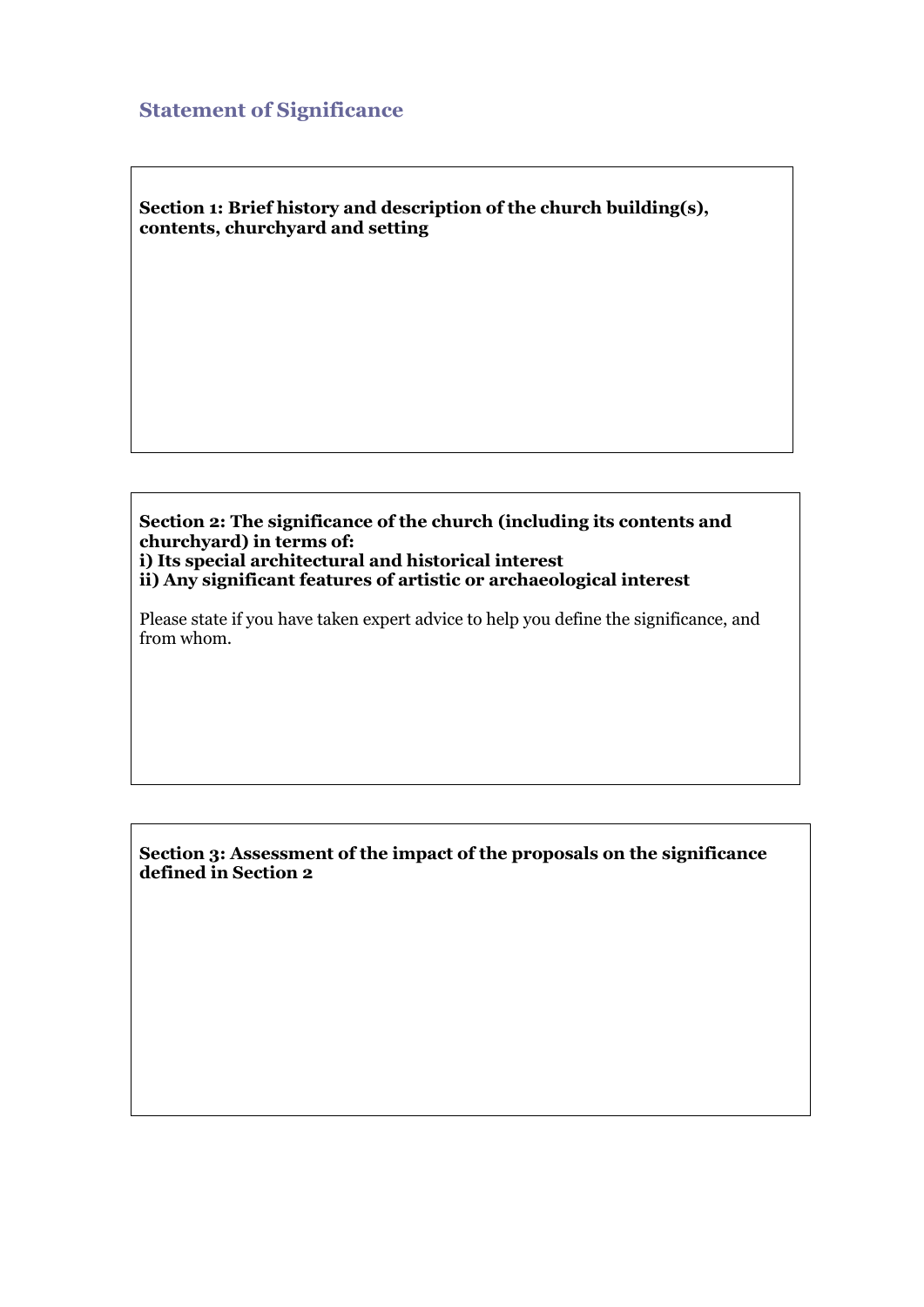## **Statement of Significance**

**Section 1: Brief history and description of the church building(s), contents, churchyard and setting**

**Section 2: The significance of the church (including its contents and churchyard) in terms of: i) Its special architectural and historical interest ii) Any significant features of artistic or archaeological interest**

Please state if you have taken expert advice to help you define the significance, and from whom.

**Section 3: Assessment of the impact of the proposals on the significance defined in Section 2**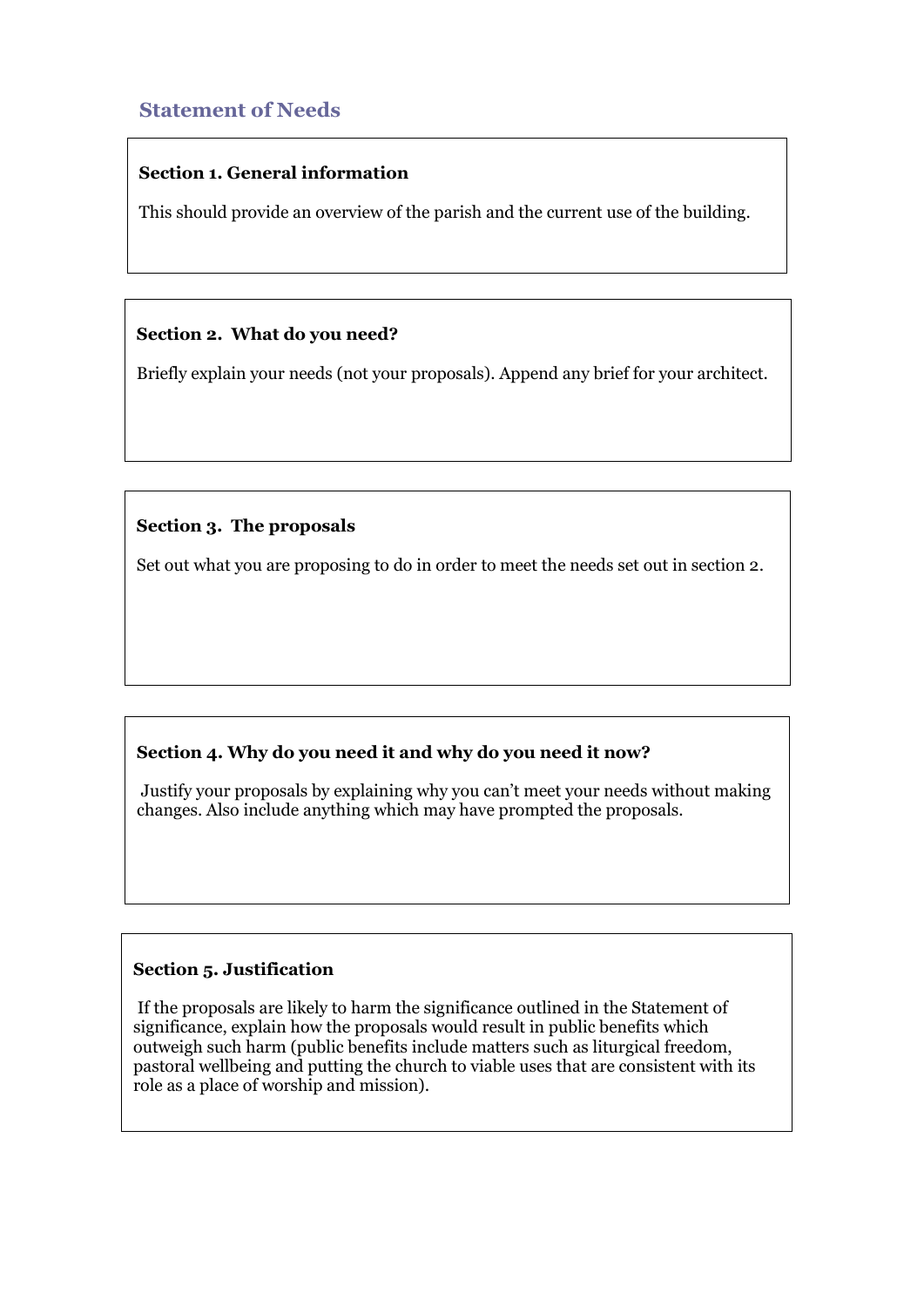## **Statement of Needs**

## **Section 1. General information**

This should provide an overview of the parish and the current use of the building.

## **Section 2. What do you need?**

Briefly explain your needs (not your proposals). Append any brief for your architect.

## **Section 3. The proposals**

Set out what you are proposing to do in order to meet the needs set out in section 2.

## **Section 4. Why do you need it and why do you need it now?**

Justify your proposals by explaining why you can't meet your needs without making changes. Also include anything which may have prompted the proposals.

## **Section 5. Justification**

If the proposals are likely to harm the significance outlined in the Statement of significance, explain how the proposals would result in public benefits which outweigh such harm (public benefits include matters such as liturgical freedom, pastoral wellbeing and putting the church to viable uses that are consistent with its role as a place of worship and mission).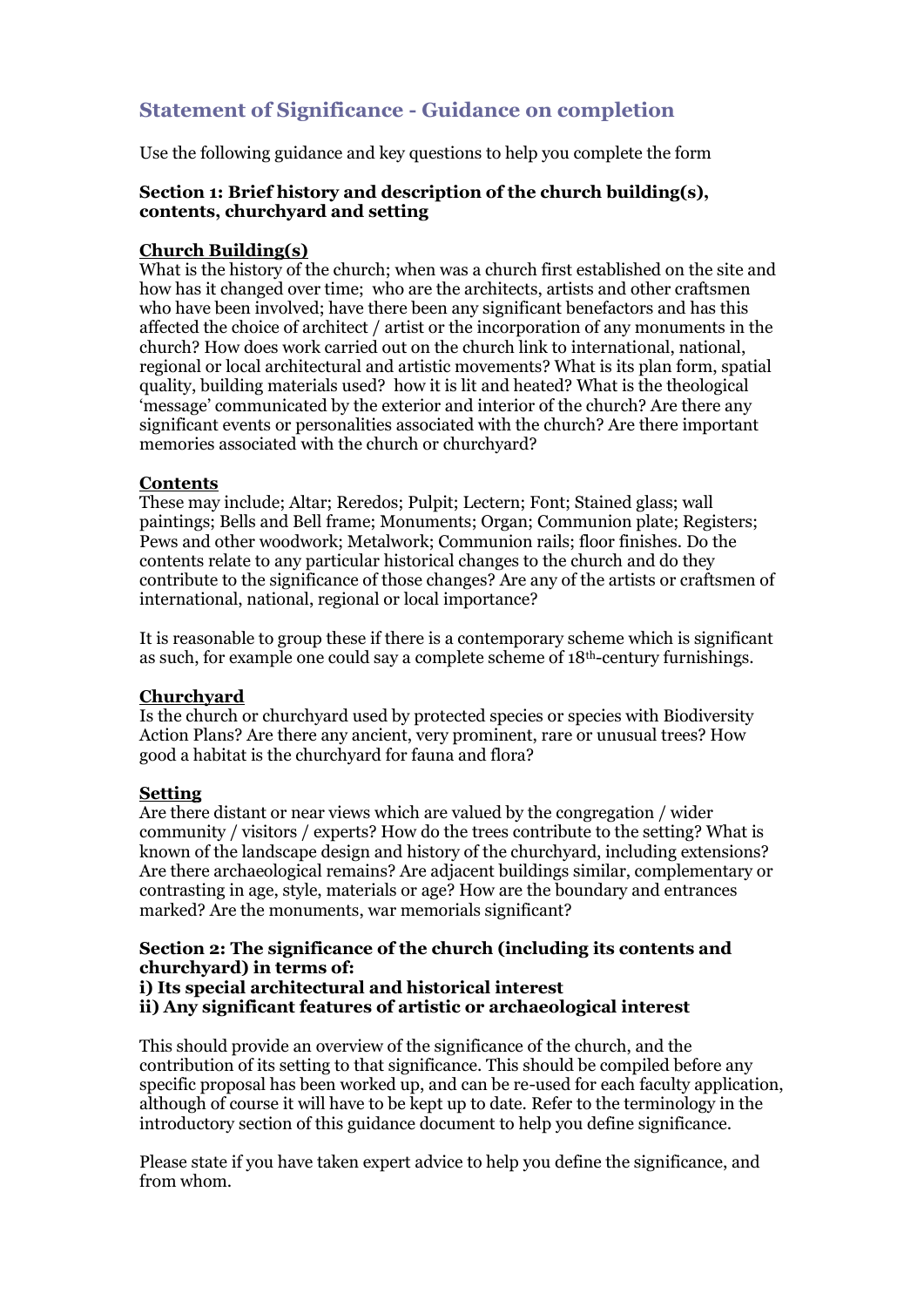## **Statement of Significance - Guidance on completion**

Use the following guidance and key questions to help you complete the form

#### **Section 1: Brief history and description of the church building(s), contents, churchyard and setting**

#### **Church Building(s)**

What is the history of the church; when was a church first established on the site and how has it changed over time; who are the architects, artists and other craftsmen who have been involved; have there been any significant benefactors and has this affected the choice of architect / artist or the incorporation of any monuments in the church? How does work carried out on the church link to international, national, regional or local architectural and artistic movements? What is its plan form, spatial quality, building materials used? how it is lit and heated? What is the theological 'message' communicated by the exterior and interior of the church? Are there any significant events or personalities associated with the church? Are there important memories associated with the church or churchyard?

#### **Contents**

These may include; Altar; Reredos; Pulpit; Lectern; Font; Stained glass; wall paintings; Bells and Bell frame; Monuments; Organ; Communion plate; Registers; Pews and other woodwork; Metalwork; Communion rails; floor finishes. Do the contents relate to any particular historical changes to the church and do they contribute to the significance of those changes? Are any of the artists or craftsmen of international, national, regional or local importance?

It is reasonable to group these if there is a contemporary scheme which is significant as such, for example one could say a complete scheme of 18th-century furnishings.

#### **Churchyard**

Is the church or churchyard used by protected species or species with Biodiversity Action Plans? Are there any ancient, very prominent, rare or unusual trees? How good a habitat is the churchyard for fauna and flora?

#### **Setting**

Are there distant or near views which are valued by the congregation / wider community / visitors / experts? How do the trees contribute to the setting? What is known of the landscape design and history of the churchyard, including extensions? Are there archaeological remains? Are adjacent buildings similar, complementary or contrasting in age, style, materials or age? How are the boundary and entrances marked? Are the monuments, war memorials significant?

#### **Section 2: The significance of the church (including its contents and churchyard) in terms of:**

**i) Its special architectural and historical interest**

**ii) Any significant features of artistic or archaeological interest**

This should provide an overview of the significance of the church, and the contribution of its setting to that significance. This should be compiled before any specific proposal has been worked up, and can be re-used for each faculty application, although of course it will have to be kept up to date. Refer to the terminology in the introductory section of this guidance document to help you define significance.

Please state if you have taken expert advice to help you define the significance, and from whom.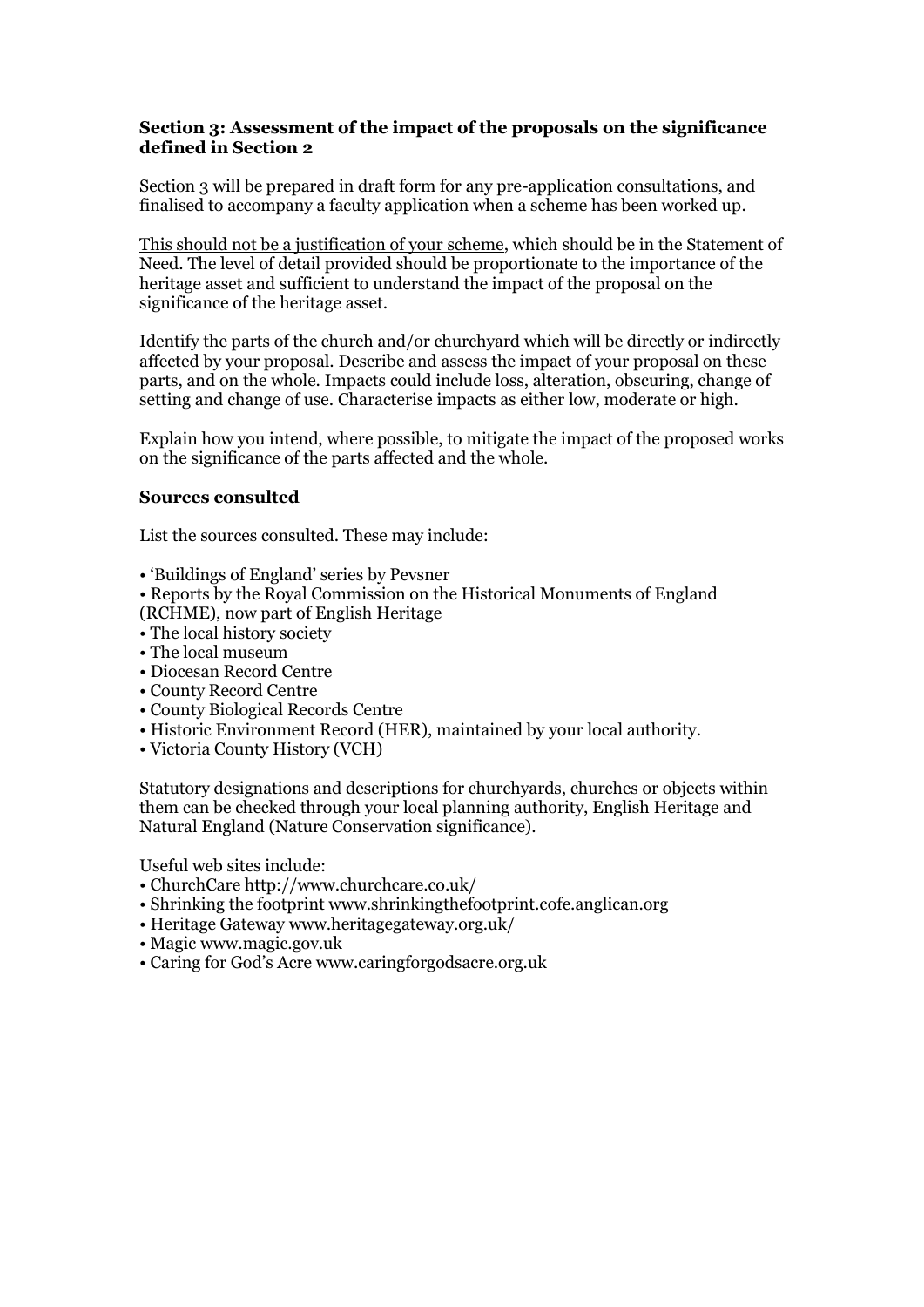#### **Section 3: Assessment of the impact of the proposals on the significance defined in Section 2**

Section 3 will be prepared in draft form for any pre-application consultations, and finalised to accompany a faculty application when a scheme has been worked up.

This should not be a justification of your scheme, which should be in the Statement of Need. The level of detail provided should be proportionate to the importance of the heritage asset and sufficient to understand the impact of the proposal on the significance of the heritage asset.

Identify the parts of the church and/or churchyard which will be directly or indirectly affected by your proposal. Describe and assess the impact of your proposal on these parts, and on the whole. Impacts could include loss, alteration, obscuring, change of setting and change of use. Characterise impacts as either low, moderate or high.

Explain how you intend, where possible, to mitigate the impact of the proposed works on the significance of the parts affected and the whole.

#### **Sources consulted**

List the sources consulted. These may include:

- 'Buildings of England' series by Pevsner
- Reports by the Royal Commission on the Historical Monuments of England
- (RCHME), now part of English Heritage
- The local history society
- The local museum
- Diocesan Record Centre
- County Record Centre
- County Biological Records Centre
- Historic Environment Record (HER), maintained by your local authority.
- Victoria County History (VCH)

Statutory designations and descriptions for churchyards, churches or objects within them can be checked through your local planning authority, English Heritage and Natural England (Nature Conservation significance).

Useful web sites include:

- ChurchCare http://www.churchcare.co.uk/
- Shrinking the footprint www.shrinkingthefootprint.cofe.anglican.org
- Heritage Gateway www.heritagegateway.org.uk/
- Magic www.magic.gov.uk
- Caring for God's Acre www.caringforgodsacre.org.uk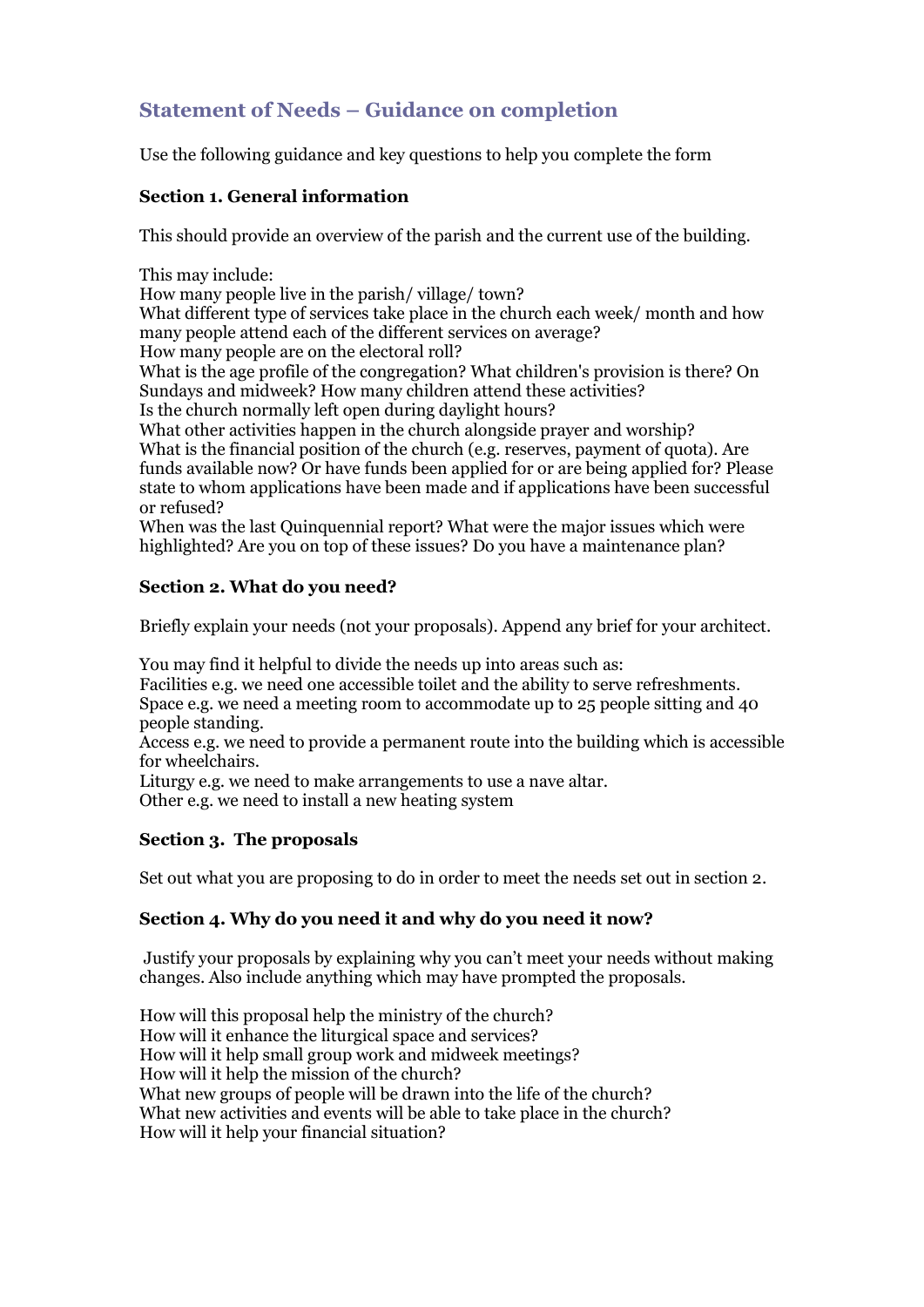## **Statement of Needs – Guidance on completion**

Use the following guidance and key questions to help you complete the form

#### **Section 1. General information**

This should provide an overview of the parish and the current use of the building.

This may include:

How many people live in the parish/ village/ town?

What different type of services take place in the church each week/ month and how many people attend each of the different services on average?

How many people are on the electoral roll?

What is the age profile of the congregation? What children's provision is there? On Sundays and midweek? How many children attend these activities?

Is the church normally left open during daylight hours?

What other activities happen in the church alongside prayer and worship? What is the financial position of the church (e.g. reserves, payment of quota). Are funds available now? Or have funds been applied for or are being applied for? Please state to whom applications have been made and if applications have been successful or refused?

When was the last Quinquennial report? What were the major issues which were highlighted? Are you on top of these issues? Do you have a maintenance plan?

## **Section 2. What do you need?**

Briefly explain your needs (not your proposals). Append any brief for your architect.

You may find it helpful to divide the needs up into areas such as:

Facilities e.g. we need one accessible toilet and the ability to serve refreshments. Space e.g. we need a meeting room to accommodate up to 25 people sitting and 40 people standing.

Access e.g. we need to provide a permanent route into the building which is accessible for wheelchairs.

Liturgy e.g. we need to make arrangements to use a nave altar.

Other e.g. we need to install a new heating system

## **Section 3. The proposals**

Set out what you are proposing to do in order to meet the needs set out in section 2.

## **Section 4. Why do you need it and why do you need it now?**

Justify your proposals by explaining why you can't meet your needs without making changes. Also include anything which may have prompted the proposals.

How will this proposal help the ministry of the church? How will it enhance the liturgical space and services? How will it help small group work and midweek meetings? How will it help the mission of the church? What new groups of people will be drawn into the life of the church? What new activities and events will be able to take place in the church? How will it help your financial situation?